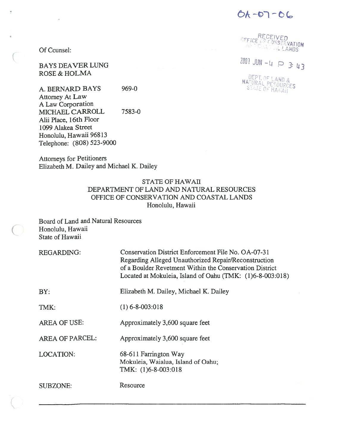$6A - 07 - 66$ 

-

BAYS DEAVER LUNG JUN - <sup>P</sup> 3: <sup>3</sup>

DEPT, OF LAND &<br>NATURAL PESOURCES<br>STATE OF HAWAII

 $\mathsf{Of}$  Counsel:

ROSE & HOLMA

A. BERNARD BAYS 969-0 Attorney At Law A Law Corporation MICHAEL CARROLL 7583-0 Alii Place, 16th Floor 1099 Alakea Street Honolulu, Hawaii 96813 Telephone: (808) 523-9000

Attorneys for Petitioners Elizabeth M. Dailey and Michael K. Dailey

## STATE OF HAWAII DEPARTMENT OF LAND AND NATURAL RESOURCES OFFICE OF CONSERVATION AND COASTAL LANDS Honolulu, Hawaii

Board of Land and Natural Resources Honolulu, Hawaii State of Hawaii

| <b>REGARDING:</b>      | Conservation District Enforcement File No. OA-07-31<br>Regarding Alleged Unauthorized Repair/Reconstruction<br>of a Boulder Revetment Within the Conservation District<br>Located at Mokuleia, Island of Oahu (TMK: (1)6-8-003:018) |
|------------------------|-------------------------------------------------------------------------------------------------------------------------------------------------------------------------------------------------------------------------------------|
| BY:                    | Elizabeth M. Dailey, Michael K. Dailey                                                                                                                                                                                              |
| TMK:                   | $(1)$ 6-8-003:018                                                                                                                                                                                                                   |
| <b>AREA OF USE:</b>    | Approximately 3,600 square feet                                                                                                                                                                                                     |
| <b>AREA OF PARCEL:</b> | Approximately 3,600 square feet                                                                                                                                                                                                     |
| <b>LOCATION:</b>       | 68-611 Farrington Way<br>Mokuleia, Waialua, Island of Oahu;<br>TMK: (1)6-8-003:018                                                                                                                                                  |
| SUBZONE:               | Resource                                                                                                                                                                                                                            |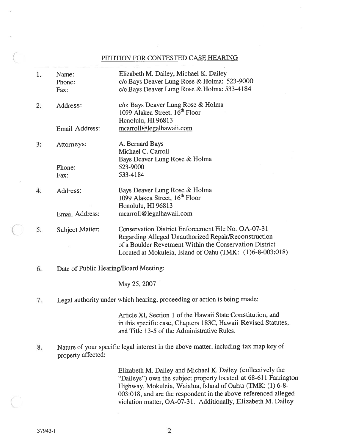## PETITION FOR CONTESTED CASE HEARING

- 1. Name: Elizabeth M. Dailey, Michael K. Dailey Phone: c/o Bays Deaver Lung Rose & Holma: 523-9000 Fax: C/o Bays Deaver Lung Rose & Holma: 533-4184 2. Address: c/o: Bays Deaver Lung Rose & Holma 1099 Alakea Street, 16<sup>th</sup> Floor Honolulu, HI 96813 Email Address: mcarroll@legalhawaii.com 3: Attorneys: A. Bernard Bays Michael C. Carroll Bays Deaver Lung Rose & Holma Phone: 523-9000 Fax: 533-4184 4. Address: Bays Deaver Lung Rose & Holma 1099 Alakea Street, 16<sup>th</sup> Floor Honolulu, HI 96813 Email Address: mcarroll@legalhawaii.com 5. Subject Matter: Conservation District Enforcement File No. OA-07-3 <sup>1</sup> Regarding Alleged Unauthorized Repair/Reconstruction of <sup>a</sup> Boulder Revetment Within the Conservation District Located at Mokuleia, Island of Oahu (TMK: (1)6-8-003:018)
- 6. Date of Public Hearing/Board Meeting:

May 25, 2007

7. Legal authority under which hearing, proceeding or action is being made:

Article XI, Section 1 of the Hawaii State Constitution, and in this specific case, Chapters 183C, Hawaii Revised Statutes, and Title 13-5 of the Administrative Rules.

8. Nature of your specific legal interest in the above matter, including tax map key of property affected:

> Elizabeth M. Dailey and Michael K. Dailey (collectively the "Daileys") own the subject property located at 68-611 Farrington Highway, Mokuleia, Waialua, Island of Oahu (TMK: (1) 6-8- 003:018, and are the respondent in the above referenced alleged violation matter, OA-07-3 1. Additionally, Elizabeth M. Dailey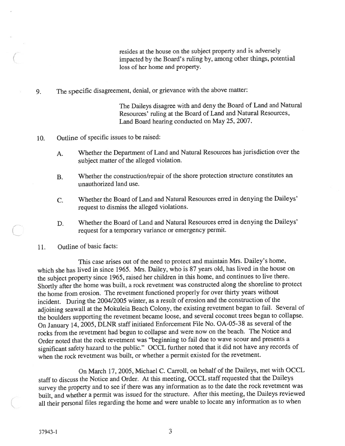resides at the house on the subject property and is adversely impacted by the Board's ruling by, among other things, potential loss of her home and property.

9. The specific disagreement, denial, or grievance with the above matter:

The Daileys disagree with and deny the Board of Land and Natural Resources' ruling at the Board of Land and Natural Resources, Land Board hearing conducted on May 25, 2007.

10. Outline of specific issues to be raised:

- A. Whether the Department of Land and Natural Resources has jurisdiction over the subject matter of the alleged violation.
- B. Whether the construction/repair of the shore protection structure constitutes an unauthorized land use.
- C. Whether the Board of Land and Natural Resources erred in denying the Daileys' reques<sup>t</sup> to dismiss the alleged violations.
- D. Whether the Board of Land and Natural Resources erred in denying the Daileys' reques<sup>t</sup> for <sup>a</sup> temporary variance or emergency permit.
- 11. Outline of basic facts:

This case arises out of the need to protect and maintain Mrs. Dailey's home, which she has lived in since 1965. Mrs. Dailey, who is <sup>87</sup> years old, has lived in the house on the subject property since 1965, raised her children in this home, and continues to live there. Shortly after the home was built, <sup>a</sup> rock revetment was constructed along the shoreline to protect the home from erosion. The revetment functioned properly for over thirty years without incident. During the 2004/2005 winter, as <sup>a</sup> result of erosion and the construction of the adjoining seawall at the Mokuleia Beach Colony, the existing revetment began to fail. Several of the boulders supporting the revetment became loose, and several coconut trees began to collapse. On January 14, 2005, DLNR staff initiated Enforcement File No. OA-05-38 as several of the rocks from the revetment had begun to collapse and were now on the beach. The Notice and Order noted that the rock revetment was "beginning to fail due to wave scour and presents <sup>a</sup> significant safety hazard to the public." OCCL further noted that it did not have any records of when the rock revetment was built, or whether a permit existed for the revetment.

On March 17, 2005, Michael C. Carroll, on behalf of the Daileys, met with OCCL staff to discuss the Notice and Order. At this meeting, OCCL staff requested that the Daileys survey the property and to see if there was any information as to the date the rock revetment was built, and whether <sup>a</sup> permit was issued for the structure. After this meeting, the Daileys reviewed all their persona<sup>l</sup> files regarding the home and were unable to locate any information as to when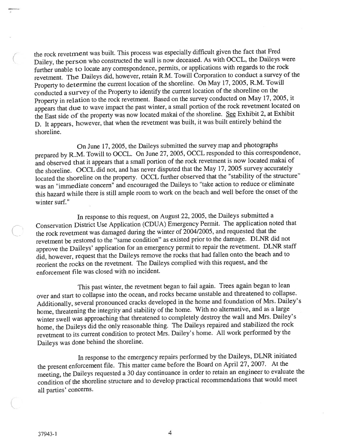the rock revetrnent was built. This process was especially difficult given the fact that Fred Dailey, the person who constructed the wall is now deceased. As with OCCL, the Daileys were further unable to locate any correspondence, permits, or applications with regards to the rock revetment. The Daileys did, however, retain R.M. Towill Corporation to conduct <sup>a</sup> survey of the Property to determine the current location of the shoreline. On May 17, 2005, R.M. Towill conducted <sup>a</sup> survey of the Property to identify the current location of the shoreline on the Property in relation to the rock revetment. Based on the survey conducted on May 17, 2005, it appears that due to wave impact the pas<sup>t</sup> winter, <sup>a</sup> small portion of the rock revetment located on the East side of the property was now located makai of the shoreline. See Exhibit 2, at Exhibit D. It appears, however, that when the revetment was built, it was built entirely behind the shoreline.

On June 17, 2005, the Daileys submitted the survey map and <sup>p</sup>hotographs prepare<sup>d</sup> by R.M. Towill to OCCL. On June 27, 2005, OCCL responded to this correspondence, and observed that it appears that <sup>a</sup> small portion of the rock revetment is now located makai of the shoreline. OCCL did not, and has never disputed that the May 17, <sup>2005</sup> survey accurately located the shoreline on the property. OCCL further observed that the "stability of the structure" was an "immediate concern" and encourage<sup>d</sup> the Daileys to "take action to reduce or eliminate this hazard while there is still ample room to work on the beach and well before the onset of the winter surf."

In response to this request, on August 22, 2005, the Daileys submitted <sup>a</sup> Conservation District Use Application (CDUA) Emergency Permit. The application noted that the rock revetment was damaged during the winter of 2004/2005, and requested that the revetment be restored to the "same condition" as existed prior to the damage. DLNR did not approve the Daileys' application for an emergency permit to repair the revetment. DLNR staff did, however, reques<sup>t</sup> that the Daileys remove the rocks that had fallen onto the beach and to reorient the rocks on the revetment. The Daileys complied with this request, and the enforcement file was closed with no incident.

This pas<sup>t</sup> winter, the revetment began to fail again. Trees again began to lean over and start to collapse into the ocean, and rocks became unstable and threatened to collapse. Additionally, several pronounce<sup>d</sup> cracks developed in the home and foundation of Mrs. Dailey's home, threatening the integrity and stability of the home. With no alternative, and as <sup>a</sup> large winter swell was approaching that threatened to completely destroy the wall and Mrs. Dailey's home, the Daileys did the only reasonable thing. The Daileys repaired and stabilized the rock revetment to its current condition to protect Mrs. Dailey's home. All work performed by the Daileys was done behind the shoreline.

In response to the emergency repairs performed by the Daileys, DLNR initiated the presen<sup>t</sup> enforcement file. This matter came before the Board on April 27, 2007. At the meeting, the Daileys requested <sup>a</sup> <sup>30</sup> day continuance in order to retain an engineer to evaluate the condition of the shoreline structure and to develop practical recommendations that would meet all parties' concerns.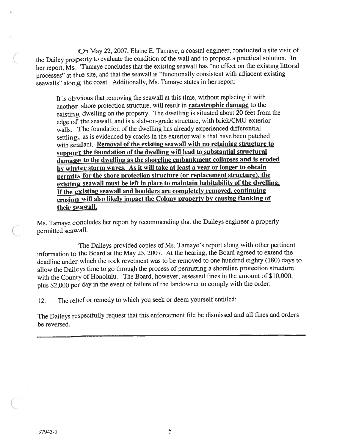On May 22, 2007, Elaine E. Tamaye, a coastal engineer, conducted a site visit of the Dailey property to evaluate the condition of the wall and to propose a practical solution. In her report, Ms. Tamaye concludes that the existing seawall has "no effect on the existing littoral processes" at the site, and that the seawall is "functionally consistent with adjacent existing seawalls" along the coast. Additionally, Ms. Tamaye states in her report:

It is obvious that removing the seawall at this time, without replacing it with another shore protection structure, will result in catastrophic damage to the existing dwelling on the property. The dwelling is situated about <sup>20</sup> feet from the edge of the seawall, and is a slab-on-grade structure, with brick/CMU exterior walls. The foundation of the dwelling has already experienced differential settling, as is evidenced by cracks in the exterior walls that have been patched with sealant. Removal of the existing seawall with no retaining structure to suppor<sup>t</sup> the foundation of the dwelling will lead to substantial structural damage to the dwelling as the shoreline embankment collapses and is eroded by winter storm waves. As it will take at least <sup>a</sup> year or longer to obtain permits for the shore protection structure (or replacement structure), the existing seawall must be left in place to maintain habitability of the dwelling. If the existing seawall and boulders are completely removed, continuing erosion will also likely impact the Colony property by causing flanking of their seawall.

Ms. Tamaye concludes her repor<sup>t</sup> by recommending that the Daileys engineer <sup>a</sup> properly permitted seawall.

The Daileys provided copies of Ms. Tamaye's report along with other pertinent information to the Board at the May 25, 2007. At the hearing, the Board agree<sup>d</sup> to extend the deadline under which the rock revetment was to be removed to one hundred eighty (180) days to allow the Daileys time to go through the process of permitting <sup>a</sup> shoreline protection structure with the County of Honolulu. The Board, however, assessed fines in the amount of \$10,000, <sup>p</sup>lus \$2,000 per day in the event of failure of the landowner to comply with the order.

12. The relief or remedy to which you seek or deem yourself entitled:

The Daileys respectfully reques<sup>t</sup> that this enforcement file be dismissed and all fines and orders be reversed.